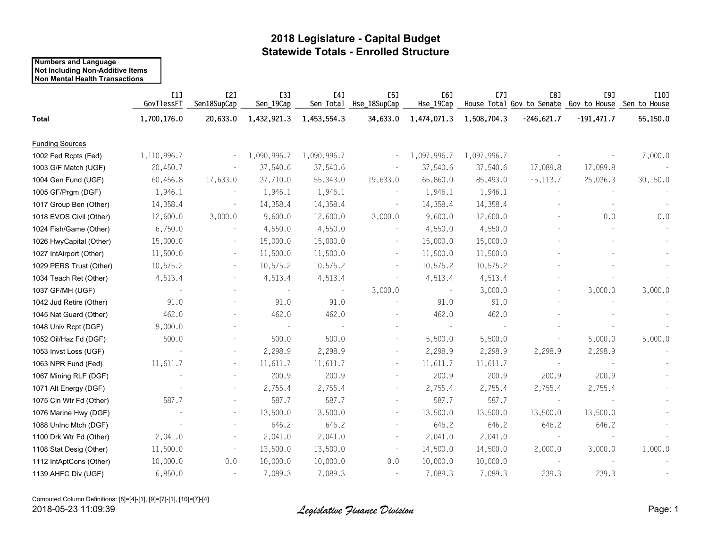## **2018 Legislature - Capital Budget Statewide Totals - Enrolled Structure**

#### **Numbers and Language Not Including Non-Additive Items Non Mental Health Transactions**

|                         | [1]<br>GovTlessFT | [2]<br>Sen18SupCap       | <b>[3]</b><br>Sen_19Cap  | [4]<br>Sen Total | [5]<br>Hse_18SupCap      | [6]<br>Hse_19Cap         | [7]         | <b>[8]</b><br>House Total Gov to Senate Gov to House Sen to House | [9]          | [10]     |
|-------------------------|-------------------|--------------------------|--------------------------|------------------|--------------------------|--------------------------|-------------|-------------------------------------------------------------------|--------------|----------|
| <b>Total</b>            | 1,700,176.0       | 20,633.0                 | 1,432,921.3              | 1,453,554.3      | 34,633.0                 | 1,474,071.3              | 1,508,704.3 | $-246,621.7$                                                      | $-191,471.7$ | 55,150.0 |
| <b>Funding Sources</b>  |                   |                          |                          |                  |                          |                          |             |                                                                   |              |          |
| 1002 Fed Rcpts (Fed)    | 1,110,996.7       |                          | 1,090,996.7              | 1,090,996.7      |                          | 1,097,996.7              | 1,097,996.7 |                                                                   |              | 7,000.0  |
| 1003 G/F Match (UGF)    | 20,450.7          |                          | 37,540.6                 | 37,540.6         |                          | 37,540.6                 | 37,540.6    | 17,089.8                                                          | 17,089.8     |          |
| 1004 Gen Fund (UGF)     | 60,456.8          | 17,633.0                 | 37,710.0                 | 55,343.0         | 19,633.0                 | 65,860.0                 | 85,493.0    | $-5,113.7$                                                        | 25,036.3     | 30,150.0 |
| 1005 GF/Prgm (DGF)      | 1,946.1           |                          | 1,946.1                  | 1,946.1          |                          | 1,946.1                  | 1,946.1     |                                                                   |              |          |
| 1017 Group Ben (Other)  | 14,358.4          |                          | 14,358.4                 | 14,358.4         |                          | 14,358.4                 | 14,358.4    |                                                                   |              |          |
| 1018 EVOS Civil (Other) | 12,600.0          | 3,000.0                  | 9,600.0                  | 12,600.0         | 3,000.0                  | 9,600.0                  | 12,600.0    |                                                                   | 0.0          | 0.0      |
| 1024 Fish/Game (Other)  | 6,750.0           |                          | 4,550.0                  | 4,550.0          |                          | 4,550.0                  | 4,550.0     |                                                                   |              |          |
| 1026 HwyCapital (Other) | 15,000.0          |                          | 15,000.0                 | 15,000.0         | $\overline{\phantom{a}}$ | 15,000.0                 | 15,000.0    |                                                                   |              |          |
| 1027 IntAirport (Other) | 11,500.0          |                          | 11,500.0                 | 11,500.0         | $\overline{\phantom{a}}$ | 11,500.0                 | 11,500.0    |                                                                   |              |          |
| 1029 PERS Trust (Other) | 10,575.2          |                          | 10,575.2                 | 10,575.2         | $\overline{\phantom{a}}$ | 10,575.2                 | 10,575.2    |                                                                   |              |          |
| 1034 Teach Ret (Other)  | 4,513.4           |                          | 4,513.4                  | 4,513.4          |                          | 4,513.4                  | 4,513.4     |                                                                   |              |          |
| 1037 GF/MH (UGF)        |                   |                          |                          |                  | 3,000.0                  |                          | 3,000.0     |                                                                   | 3,000.0      | 3,000.0  |
| 1042 Jud Retire (Other) | 91.0              |                          | 91.0                     | 91.0             |                          | 91.0                     | 91.0        |                                                                   |              |          |
| 1045 Nat Guard (Other)  | 462.0             |                          | 462.0                    | 462.0            |                          | 462.0                    | 462.0       |                                                                   |              |          |
| 1048 Univ Rcpt (DGF)    | 8,000.0           |                          | $\overline{\phantom{a}}$ |                  |                          | $\overline{\phantom{a}}$ |             |                                                                   |              |          |
| 1052 Oil/Haz Fd (DGF)   | 500.0             |                          | 500.0                    | 500.0            |                          | 5,500.0                  | 5,500.0     |                                                                   | 5,000.0      | 5,000.0  |
| 1053 Invst Loss (UGF)   |                   | $\overline{\phantom{a}}$ | 2,298.9                  | 2,298.9          |                          | 2,298.9                  | 2,298.9     | 2,298.9                                                           | 2,298.9      |          |
| 1063 NPR Fund (Fed)     | 11,611.7          | $\overline{\phantom{a}}$ | 11,611.7                 | 11,611.7         |                          | 11,611.7                 | 11,611.7    |                                                                   |              |          |
| 1067 Mining RLF (DGF)   |                   |                          | 200.9                    | 200.9            |                          | 200.9                    | 200.9       | 200.9                                                             | 200.9        |          |
| 1071 Alt Energy (DGF)   |                   | $\overline{\phantom{0}}$ | 2,755.4                  | 2,755.4          |                          | 2,755.4                  | 2,755.4     | 2,755.4                                                           | 2,755.4      |          |
| 1075 Cln Wtr Fd (Other) | 587.7             |                          | 587.7                    | 587.7            |                          | 587.7                    | 587.7       | $\overline{\phantom{a}}$                                          |              |          |
| 1076 Marine Hwy (DGF)   |                   |                          | 13,500.0                 | 13,500.0         |                          | 13,500.0                 | 13,500.0    | 13,500.0                                                          | 13,500.0     |          |
| 1088 Uninc Mtch (DGF)   |                   |                          | 646.2                    | 646.2            |                          | 646.2                    | 646.2       | 646.2                                                             | 646.2        |          |
| 1100 Drk Wtr Fd (Other) | 2,041.0           |                          | 2,041.0                  | 2,041.0          |                          | 2,041.0                  | 2,041.0     | $\sim$                                                            |              |          |
| 1108 Stat Desig (Other) | 11,500.0          |                          | 13,500.0                 | 13,500.0         |                          | 14,500.0                 | 14,500.0    | 2,000.0                                                           | 3,000.0      | 1,000.0  |
| 1112 IntAptCons (Other) | 10,000.0          | 0.0                      | 10,000.0                 | 10,000.0         | 0.0                      | 10,000.0                 | 10,000.0    | $\sim$                                                            |              |          |
| 1139 AHFC Div (UGF)     | 6,850.0           |                          | 7,089.3                  | 7,089.3          | $\overline{\phantom{a}}$ | 7,089.3                  | 7,089.3     | 239.3                                                             | 239.3        |          |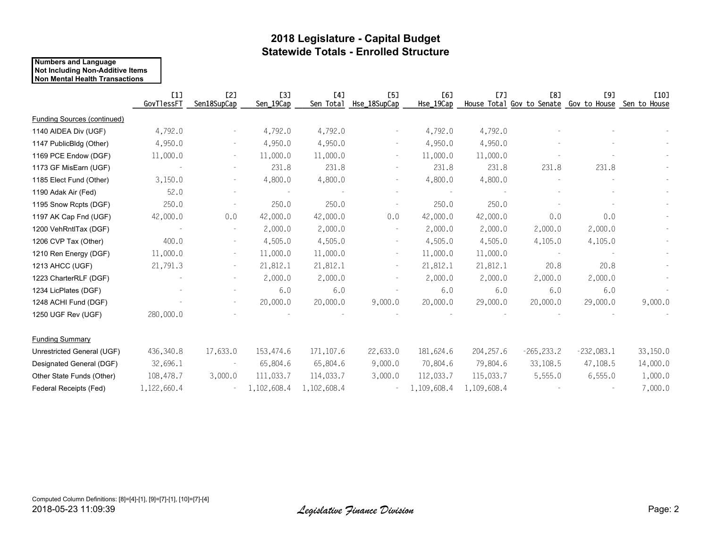## **2018 Legislature - Capital Budget Statewide Totals - Enrolled Structure**

#### **Numbers and Language Not Including Non-Additive Items Non Mental Health Transactions**

|                                    | [1]<br>GovTlessFT | <b>[2]</b><br>Sen18SupCap | <b>[3]</b><br>Sen_19Cap | [4]<br>Sen Total | [5]<br>Hse_18SupCap      | E6<br>Hse_19Cap | [7]         | E81<br>House Total Gov to Senate | <b>[9]</b><br>Gov to House | [10]<br>Sen to House |
|------------------------------------|-------------------|---------------------------|-------------------------|------------------|--------------------------|-----------------|-------------|----------------------------------|----------------------------|----------------------|
| <b>Funding Sources (continued)</b> |                   |                           |                         |                  |                          |                 |             |                                  |                            |                      |
| 1140 AIDEA Div (UGF)               | 4,792.0           |                           | 4,792.0                 | 4,792.0          |                          | 4,792.0         | 4,792.0     |                                  |                            |                      |
| 1147 PublicBldg (Other)            | 4,950.0           |                           | 4,950.0                 | 4,950.0          |                          | 4,950.0         | 4,950.0     |                                  |                            |                      |
| 1169 PCE Endow (DGF)               | 11,000.0          | $\sim$                    | 11,000.0                | 11,000.0         | $\overline{\phantom{a}}$ | 11,000.0        | 11,000.0    |                                  |                            |                      |
| 1173 GF MisEarn (UGF)              |                   |                           | 231.8                   | 231.8            |                          | 231.8           | 231.8       | 231.8                            | 231.8                      |                      |
| 1185 Elect Fund (Other)            | 3,150.0           |                           | 4,800.0                 | 4,800.0          |                          | 4,800.0         | 4,800.0     |                                  |                            |                      |
| 1190 Adak Air (Fed)                | 52.0              |                           |                         |                  |                          | $\sim$          |             |                                  |                            |                      |
| 1195 Snow Rcpts (DGF)              | 250.0             |                           | 250.0                   | 250.0            |                          | 250.0           | 250.0       |                                  |                            |                      |
| 1197 AK Cap Fnd (UGF)              | 42,000.0          | 0.0                       | 42,000.0                | 42,000.0         | 0.0                      | 42,000.0        | 42,000.0    | 0.0                              | 0.0                        |                      |
| 1200 VehRntlTax (DGF)              |                   |                           | 2,000.0                 | 2,000.0          |                          | 2,000.0         | 2,000.0     | 2,000.0                          | 2,000.0                    |                      |
| 1206 CVP Tax (Other)               | 400.0             |                           | 4,505.0                 | 4,505.0          |                          | 4,505.0         | 4,505.0     | 4,105.0                          | 4,105.0                    |                      |
| 1210 Ren Energy (DGF)              | 11,000.0          | $\overline{\phantom{a}}$  | 11,000.0                | 11,000.0         | $\overline{\phantom{a}}$ | 11,000.0        | 11,000.0    |                                  |                            |                      |
| 1213 AHCC (UGF)                    | 21,791.3          | $\sim$                    | 21,812.1                | 21,812.1         | $\overline{\phantom{a}}$ | 21,812.1        | 21,812.1    | 20.8                             | 20.8                       |                      |
| 1223 CharterRLF (DGF)              |                   |                           | 2,000.0                 | 2,000.0          | $\overline{\phantom{m}}$ | 2,000.0         | 2,000.0     | 2,000.0                          | 2,000.0                    |                      |
| 1234 LicPlates (DGF)               |                   |                           | 6.0                     | 6.0              |                          | 6.0             | 6.0         | 6.0                              | 6.0                        |                      |
| 1248 ACHI Fund (DGF)               |                   |                           | 20,000.0                | 20,000.0         | 9,000.0                  | 20,000.0        | 29,000.0    | 20,000.0                         | 29,000.0                   | 9,000.0              |
| 1250 UGF Rev (UGF)                 | 280,000.0         |                           |                         |                  |                          |                 |             |                                  |                            |                      |
| <b>Funding Summary</b>             |                   |                           |                         |                  |                          |                 |             |                                  |                            |                      |
| Unrestricted General (UGF)         | 436,340.8         | 17,633.0                  | 153,474.6               | 171, 107.6       | 22,633.0                 | 181,624.6       | 204, 257.6  | $-265, 233.2$                    | $-232,083.1$               | 33,150.0             |
| Designated General (DGF)           | 32,696.1          |                           | 65,804.6                | 65,804.6         | 9,000.0                  | 70,804.6        | 79,804.6    | 33,108.5                         | 47,108.5                   | 14,000.0             |
| Other State Funds (Other)          | 108,478.7         | 3,000.0                   | 111,033.7               | 114,033.7        | 3,000.0                  | 112,033.7       | 115,033.7   | 5,555.0                          | 6,555.0                    | 1,000.0              |
| Federal Receipts (Fed)             | 1,122,660.4       |                           | 1,102,608.4             | 1,102,608.4      |                          | 1,109,608.4     | 1,109,608.4 |                                  |                            | 7,000.0              |